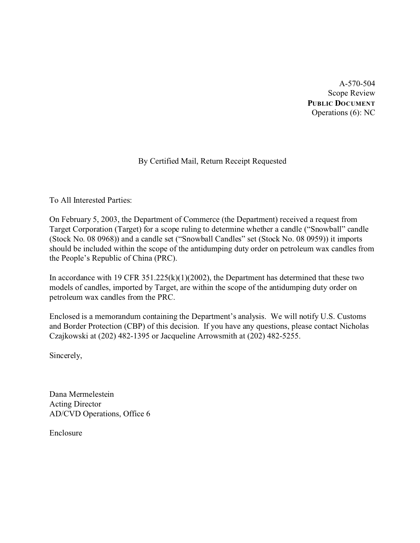A-570-504 Scope Review **PUBLIC DOCUMENT** Operations (6): NC

# By Certified Mail, Return Receipt Requested

To All Interested Parties:

On February 5, 2003, the Department of Commerce (the Department) received a request from Target Corporation (Target) for a scope ruling to determine whether a candle ("Snowball" candle (Stock No. 08 0968)) and a candle set ("Snowball Candles" set (Stock No. 08 0959)) it imports should be included within the scope of the antidumping duty order on petroleum wax candles from the People's Republic of China (PRC).

In accordance with 19 CFR  $351.225(k)(1)(2002)$ , the Department has determined that these two models of candles, imported by Target, are within the scope of the antidumping duty order on petroleum wax candles from the PRC.

Enclosed is a memorandum containing the Department's analysis. We will notify U.S. Customs and Border Protection (CBP) of this decision. If you have any questions, please contact Nicholas Czajkowski at (202) 482-1395 or Jacqueline Arrowsmith at (202) 482-5255.

Sincerely,

Dana Mermelestein Acting Director AD/CVD Operations, Office 6

Enclosure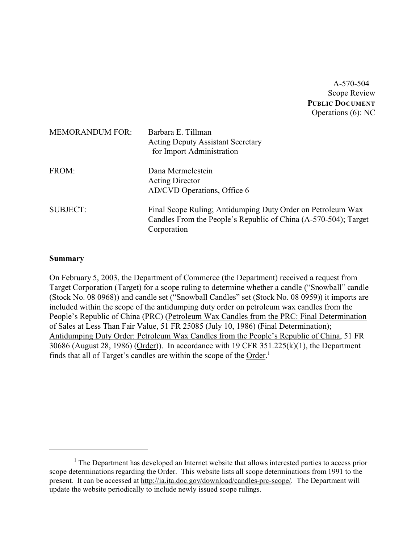A-570-504 Scope Review **PUBLIC DOCUMENT** Operations (6): NC

| <b>MEMORANDUM FOR:</b> | Barbara E. Tillman<br><b>Acting Deputy Assistant Secretary</b><br>for Import Administration                                                   |
|------------------------|-----------------------------------------------------------------------------------------------------------------------------------------------|
| FROM:                  | Dana Mermelestein<br><b>Acting Director</b><br>AD/CVD Operations, Office 6                                                                    |
| <b>SUBJECT:</b>        | Final Scope Ruling; Antidumping Duty Order on Petroleum Wax<br>Candles From the People's Republic of China (A-570-504); Target<br>Corporation |

### **Summary**

On February 5, 2003, the Department of Commerce (the Department) received a request from Target Corporation (Target) for a scope ruling to determine whether a candle ("Snowball" candle (Stock No. 08 0968)) and candle set ("Snowball Candles" set (Stock No. 08 0959)) it imports are included within the scope of the antidumping duty order on petroleum wax candles from the People's Republic of China (PRC) (Petroleum Wax Candles from the PRC: Final Determination of Sales at Less Than Fair Value, 51 FR 25085 (July 10, 1986) (Final Determination); Antidumping Duty Order: Petroleum Wax Candles from the People's Republic of China, 51 FR 30686 (August 28, 1986) (Order)). In accordance with 19 CFR 351.225(k)(1), the Department finds that all of Target's candles are within the scope of the Order.<sup>1</sup>

<sup>&</sup>lt;sup>1</sup> The Department has developed an Internet website that allows interested parties to access prior scope determinations regarding the Order. This website lists all scope determinations from 1991 to the present. It can be accessed at [http://ia.ita.doc.gov/download/candles-prc-scope/. The Department](http://ia.ita.doc.gov/download/candles-prc-scope/,) will update the website periodically to include newly issued scope rulings.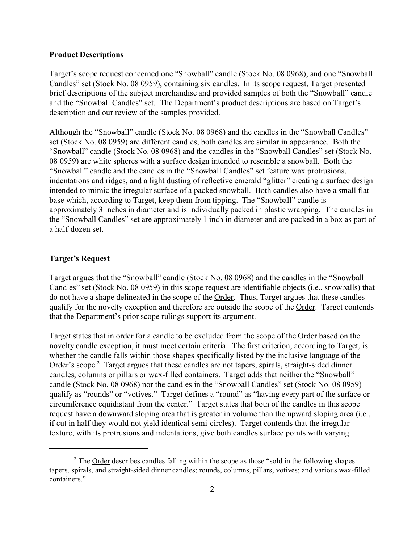## **Product Descriptions**

Target's scope request concerned one "Snowball" candle (Stock No. 08 0968), and one "Snowball Candles" set (Stock No. 08 0959), containing six candles. In its scope request, Target presented brief descriptions of the subject merchandise and provided samples of both the "Snowball" candle and the "Snowball Candles" set. The Department's product descriptions are based on Target's description and our review of the samples provided.

Although the "Snowball" candle (Stock No. 08 0968) and the candles in the "Snowball Candles" set (Stock No. 08 0959) are different candles, both candles are similar in appearance. Both the "Snowball" candle (Stock No. 08 0968) and the candles in the "Snowball Candles" set (Stock No. 08 0959) are white spheres with a surface design intended to resemble a snowball. Both the "Snowball" candle and the candles in the "Snowball Candles" set feature wax protrusions, indentations and ridges, and a light dusting of reflective emerald "glitter" creating a surface design intended to mimic the irregular surface of a packed snowball. Both candles also have a small flat base which, according to Target, keep them from tipping. The "Snowball" candle is approximately 3 inches in diameter and is individually packed in plastic wrapping. The candles in the "Snowball Candles" set are approximately 1 inch in diameter and are packed in a box as part of a half-dozen set.

## **Target's Request**

Target argues that the "Snowball" candle (Stock No. 08 0968) and the candles in the "Snowball Candles" set (Stock No. 08 0959) in this scope request are identifiable objects (i.e., snowballs) that do not have a shape delineated in the scope of the Order. Thus, Target argues that these candles qualify for the novelty exception and therefore are outside the scope of the Order. Target contends that the Department's prior scope rulings support its argument.

Target states that in order for a candle to be excluded from the scope of the Order based on the novelty candle exception, it must meet certain criteria. The first criterion, according to Target, is whether the candle falls within those shapes specifically listed by the inclusive language of the Order's scope.<sup>2</sup> Target argues that these candles are not tapers, spirals, straight-sided dinner candles, columns or pillars or wax-filled containers. Target adds that neither the "Snowball" candle (Stock No. 08 0968) nor the candles in the "Snowball Candles" set (Stock No. 08 0959) qualify as "rounds" or "votives." Target defines a "round" as "having every part of the surface or circumference equidistant from the center." Target states that both of the candles in this scope request have a downward sloping area that is greater in volume than the upward sloping area (i.e., if cut in half they would not yield identical semi-circles). Target contends that the irregular texture, with its protrusions and indentations, give both candles surface points with varying

<sup>&</sup>lt;sup>2</sup> The **Order** describes candles falling within the scope as those "sold in the following shapes: tapers, spirals, and straight-sided dinner candles; rounds, columns, pillars, votives; and various wax-filled containers."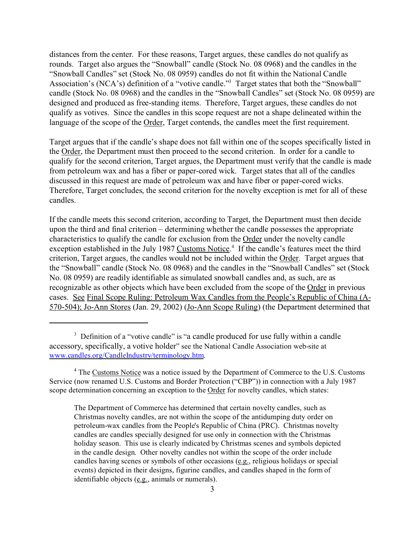distances from the center. For these reasons, Target argues, these candles do not qualify as rounds. Target also argues the "Snowball" candle (Stock No. 08 0968) and the candles in the "Snowball Candles" set (Stock No. 08 0959) candles do not fit within the National Candle Association's (NCA's) definition of a "votive candle."<sup>3</sup> Target states that both the "Snowball" candle (Stock No. 08 0968) and the candles in the "Snowball Candles" set (Stock No. 08 0959) are designed and produced as free-standing items. Therefore, Target argues, these candles do not qualify as votives. Since the candles in this scope request are not a shape delineated within the language of the scope of the Order, Target contends, the candles meet the first requirement.

Target argues that if the candle's shape does not fall within one of the scopes specifically listed in the Order, the Department must then proceed to the second criterion. In order for a candle to qualify for the second criterion, Target argues, the Department must verify that the candle is made from petroleum wax and has a fiber or paper-cored wick. Target states that all of the candles discussed in this request are made of petroleum wax and have fiber or paper-cored wicks. Therefore, Target concludes, the second criterion for the novelty exception is met for all of these candles.

If the candle meets this second criterion, according to Target, the Department must then decide upon the third and final criterion – determining whether the candle possesses the appropriate characteristics to qualify the candle for exclusion from the Order under the novelty candle exception established in the July 1987 Customs Notice.<sup>4</sup> If the candle's features meet the third criterion, Target argues, the candles would not be included within the Order. Target argues that the "Snowball" candle (Stock No. 08 0968) and the candles in the "Snowball Candles" set (Stock No. 08 0959) are readily identifiable as simulated snowball candles and, as such, are as recognizable as other objects which have been excluded from the scope of the Order in previous cases. See Final Scope Ruling: Petroleum Wax Candles from the People's Republic of China (A-570-504); Jo-Ann Stores (Jan. 29, 2002) (Jo-Ann Scope Ruling) (the Department determined that

<sup>&</sup>lt;sup>3</sup> Definition of a "votive candle" is "a candle produced for use fully within a candle accessory, specifically, a votive holder" see the National Candle Association web-site at [www.candles.org/CandleIndustry/terminology.htm](http://www.candles.org/CandleIndustry/terminology.htm)).

<sup>&</sup>lt;sup>4</sup> The Customs Notice was a notice issued by the Department of Commerce to the U.S. Customs Service (now renamed U.S. Customs and Border Protection ("CBP")) in connection with a July 1987 scope determination concerning an exception to the Order for novelty candles, which states:

The Department of Commerce has determined that certain novelty candles, such as Christmas novelty candles, are not within the scope of the antidumping duty order on petroleum-wax candles from the People's Republic of China (PRC). Christmas novelty candles are candles specially designed for use only in connection with the Christmas holiday season. This use is clearly indicated by Christmas scenes and symbols depicted in the candle design. Other novelty candles not within the scope of the order include candles having scenes or symbols of other occasions  $(e.g.,$  religious holidays or special events) depicted in their designs, figurine candles, and candles shaped in the form of identifiable objects (e.g., animals or numerals).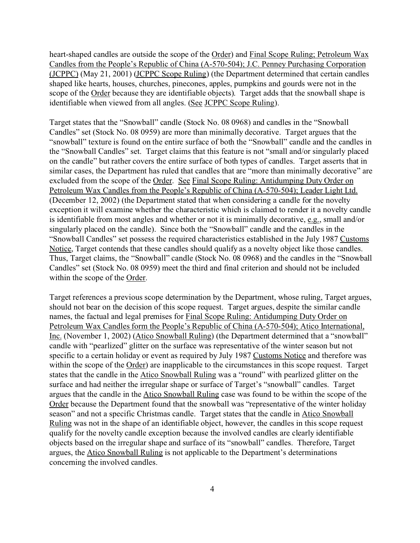heart-shaped candles are outside the scope of the Order) and Final Scope Ruling; Petroleum Wax Candles from the People's Republic of China (A-570-504); J.C. Penney Purchasing Corporation (JCPPC) (May 21, 2001) (JCPPC Scope Ruling) (the Department determined that certain candles shaped like hearts, houses, churches, pinecones, apples, pumpkins and gourds were not in the scope of the Order because they are identifiable objects). Target adds that the snowball shape is identifiable when viewed from all angles. (See JCPPC Scope Ruling).

Target states that the "Snowball" candle (Stock No. 08 0968) and candles in the "Snowball Candles" set (Stock No. 08 0959) are more than minimally decorative. Target argues that the "snowball" texture is found on the entire surface of both the "Snowball" candle and the candles in the "Snowball Candles" set. Target claims that this feature is not "small and/or singularly placed on the candle" but rather covers the entire surface of both types of candles. Target asserts that in similar cases, the Department has ruled that candles that are "more than minimally decorative" are excluded from the scope of the Order. See Final Scope Ruling: Antidumping Duty Order on Petroleum Wax Candles from the People's Republic of China (A-570-504); Leader Light Ltd. (December 12, 2002) (the Department stated that when considering a candle for the novelty exception it will examine whether the characteristic which is claimed to render it a novelty candle is identifiable from most angles and whether or not it is minimally decorative, e.g., small and/or singularly placed on the candle). Since both the "Snowball" candle and the candles in the "Snowball Candles" set possess the required characteristics established in the July 1987 Customs Notice, Target contends that these candles should qualify as a novelty object like those candles. Thus, Target claims, the "Snowball" candle (Stock No. 08 0968) and the candles in the "Snowball Candles" set (Stock No. 08 0959) meet the third and final criterion and should not be included within the scope of the Order.

Target references a previous scope determination by the Department, whose ruling, Target argues, should not bear on the decision of this scope request. Target argues, despite the similar candle names, the factual and legal premises for Final Scope Ruling: Antidumping Duty Order on Petroleum Wax Candles form the People's Republic of China (A-570-504); Atico International, Inc. (November 1, 2002) (Atico Snowball Ruling) (the Department determined that a "snowball" candle with "pearlized" glitter on the surface was representative of the winter season but not specific to a certain holiday or event as required by July 1987 Customs Notice and therefore was within the scope of the Order) are inapplicable to the circumstances in this scope request. Target states that the candle in the Atico Snowball Ruling was a "round" with pearlized glitter on the surface and had neither the irregular shape or surface of Target's "snowball" candles. Target argues that the candle in the Atico Snowball Ruling case was found to be within the scope of the Order because the Department found that the snowball was "representative of the winter holiday season" and not a specific Christmas candle. Target states that the candle in Atico Snowball Ruling was not in the shape of an identifiable object, however, the candles in this scope request qualify for the novelty candle exception because the involved candles are clearly identifiable objects based on the irregular shape and surface of its "snowball" candles. Therefore, Target argues, the Atico Snowball Ruling is not applicable to the Department's determinations concerning the involved candles.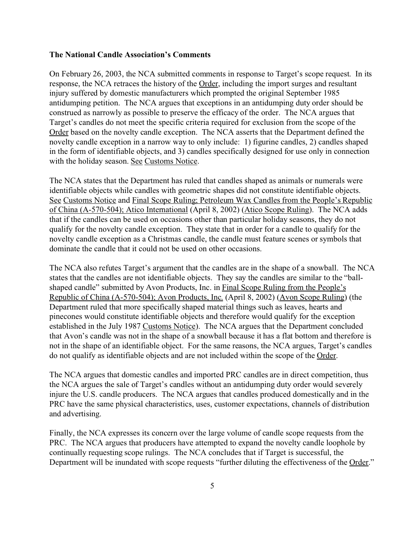## **The National Candle Association's Comments**

On February 26, 2003, the NCA submitted comments in response to Target's scope request. In its response, the NCA retraces the history of the Order, including the import surges and resultant injury suffered by domestic manufacturers which prompted the original September 1985 antidumping petition. The NCA argues that exceptions in an antidumping duty order should be construed as narrowly as possible to preserve the efficacy of the order. The NCA argues that Target's candles do not meet the specific criteria required for exclusion from the scope of the Order based on the novelty candle exception. The NCA asserts that the Department defined the novelty candle exception in a narrow way to only include: 1) figurine candles, 2) candles shaped in the form of identifiable objects, and 3) candles specifically designed for use only in connection with the holiday season. See Customs Notice.

The NCA states that the Department has ruled that candles shaped as animals or numerals were identifiable objects while candles with geometric shapes did not constitute identifiable objects. See Customs Notice and Final Scope Ruling; Petroleum Wax Candles from the People's Republic of China (A-570-504); Atico International (April 8, 2002) (Atico Scope Ruling). The NCA adds that if the candles can be used on occasions other than particular holiday seasons, they do not qualify for the novelty candle exception. They state that in order for a candle to qualify for the novelty candle exception as a Christmas candle, the candle must feature scenes or symbols that dominate the candle that it could not be used on other occasions.

The NCA also refutes Target's argument that the candles are in the shape of a snowball. The NCA states that the candles are not identifiable objects. They say the candles are similar to the "ballshaped candle" submitted by Avon Products, Inc. in Final Scope Ruling from the People's Republic of China (A-570-504); Avon Products, Inc. (April 8, 2002) (Avon Scope Ruling) (the Department ruled that more specifically shaped material things such as leaves, hearts and pinecones would constitute identifiable objects and therefore would qualify for the exception established in the July 1987 Customs Notice). The NCA argues that the Department concluded that Avon's candle was not in the shape of a snowball because it has a flat bottom and therefore is not in the shape of an identifiable object. For the same reasons, the NCA argues, Target's candles do not qualify as identifiable objects and are not included within the scope of the Order.

The NCA argues that domestic candles and imported PRC candles are in direct competition, thus the NCA argues the sale of Target's candles without an antidumping duty order would severely injure the U.S. candle producers. The NCA argues that candles produced domestically and in the PRC have the same physical characteristics, uses, customer expectations, channels of distribution and advertising.

Finally, the NCA expresses its concern over the large volume of candle scope requests from the PRC. The NCA argues that producers have attempted to expand the novelty candle loophole by continually requesting scope rulings. The NCA concludes that if Target is successful, the Department will be inundated with scope requests "further diluting the effectiveness of the Order."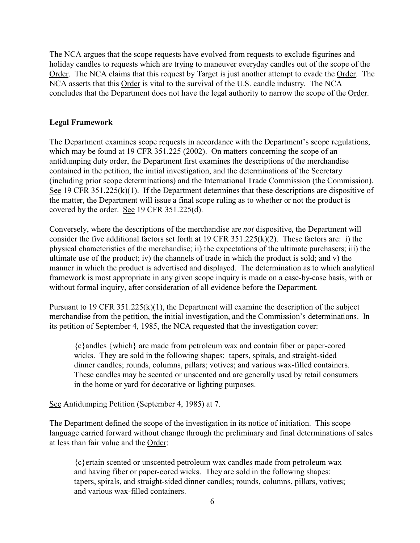The NCA argues that the scope requests have evolved from requests to exclude figurines and holiday candles to requests which are trying to maneuver everyday candles out of the scope of the Order. The NCA claims that this request by Target is just another attempt to evade the Order. The NCA asserts that this Order is vital to the survival of the U.S. candle industry. The NCA concludes that the Department does not have the legal authority to narrow the scope of the Order.

## **Legal Framework**

The Department examines scope requests in accordance with the Department's scope regulations, which may be found at 19 CFR 351.225 (2002). On matters concerning the scope of an antidumping duty order, the Department first examines the descriptions of the merchandise contained in the petition, the initial investigation, and the determinations of the Secretary (including prior scope determinations) and the International Trade Commission (the Commission). See 19 CFR 351.225(k)(1). If the Department determines that these descriptions are dispositive of the matter, the Department will issue a final scope ruling as to whether or not the product is covered by the order. See 19 CFR 351.225(d).

Conversely, where the descriptions of the merchandise are *not* dispositive, the Department will consider the five additional factors set forth at 19 CFR 351.225(k)(2). These factors are: i) the physical characteristics of the merchandise; ii) the expectations of the ultimate purchasers; iii) the ultimate use of the product; iv) the channels of trade in which the product is sold; and v) the manner in which the product is advertised and displayed. The determination as to which analytical framework is most appropriate in any given scope inquiry is made on a case-by-case basis, with or without formal inquiry, after consideration of all evidence before the Department.

Pursuant to 19 CFR 351.225(k)(1), the Department will examine the description of the subject merchandise from the petition, the initial investigation, and the Commission's determinations. In its petition of September 4, 1985, the NCA requested that the investigation cover:

{c}andles {which} are made from petroleum wax and contain fiber or paper-cored wicks. They are sold in the following shapes: tapers, spirals, and straight-sided dinner candles; rounds, columns, pillars; votives; and various wax-filled containers. These candles may be scented or unscented and are generally used by retail consumers in the home or yard for decorative or lighting purposes.

See Antidumping Petition (September 4, 1985) at 7.

The Department defined the scope of the investigation in its notice of initiation. This scope language carried forward without change through the preliminary and final determinations of sales at less than fair value and the Order:

{c}ertain scented or unscented petroleum wax candles made from petroleum wax and having fiber or paper-cored wicks. They are sold in the following shapes: tapers, spirals, and straight-sided dinner candles; rounds, columns, pillars, votives; and various wax-filled containers.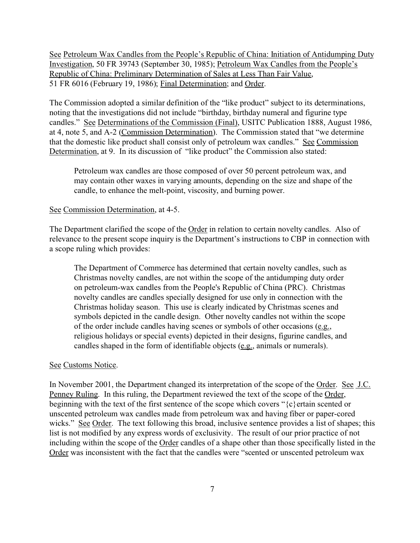See Petroleum Wax Candles from the People's Republic of China: Initiation of Antidumping Duty Investigation, 50 FR 39743 (September 30, 1985); Petroleum Wax Candles from the People's Republic of China: Preliminary Determination of Sales at Less Than Fair Value, 51 FR 6016 (February 19, 1986); Final Determination; and Order.

The Commission adopted a similar definition of the "like product" subject to its determinations, noting that the investigations did not include "birthday, birthday numeral and figurine type candles." See Determinations of the Commission (Final), USITC Publication 1888, August 1986, at 4, note 5, and A-2 (Commission Determination). The Commission stated that "we determine that the domestic like product shall consist only of petroleum wax candles." See Commission Determination, at 9. In its discussion of "like product" the Commission also stated:

Petroleum wax candles are those composed of over 50 percent petroleum wax, and may contain other waxes in varying amounts, depending on the size and shape of the candle, to enhance the melt-point, viscosity, and burning power.

### See Commission Determination, at 4-5.

The Department clarified the scope of the Order in relation to certain novelty candles. Also of relevance to the present scope inquiry is the Department's instructions to CBP in connection with a scope ruling which provides:

The Department of Commerce has determined that certain novelty candles, such as Christmas novelty candles, are not within the scope of the antidumping duty order on petroleum-wax candles from the People's Republic of China (PRC). Christmas novelty candles are candles specially designed for use only in connection with the Christmas holiday season. This use is clearly indicated by Christmas scenes and symbols depicted in the candle design. Other novelty candles not within the scope of the order include candles having scenes or symbols of other occasions (e.g., religious holidays or special events) depicted in their designs, figurine candles, and candles shaped in the form of identifiable objects (e.g., animals or numerals).

#### See Customs Notice.

In November 2001, the Department changed its interpretation of the scope of the Order. See J.C. Penney Ruling. In this ruling, the Department reviewed the text of the scope of the Order, beginning with the text of the first sentence of the scope which covers "{c}ertain scented or unscented petroleum wax candles made from petroleum wax and having fiber or paper-cored wicks." See Order. The text following this broad, inclusive sentence provides a list of shapes; this list is not modified by any express words of exclusivity. The result of our prior practice of not including within the scope of the Order candles of a shape other than those specifically listed in the Order was inconsistent with the fact that the candles were "scented or unscented petroleum wax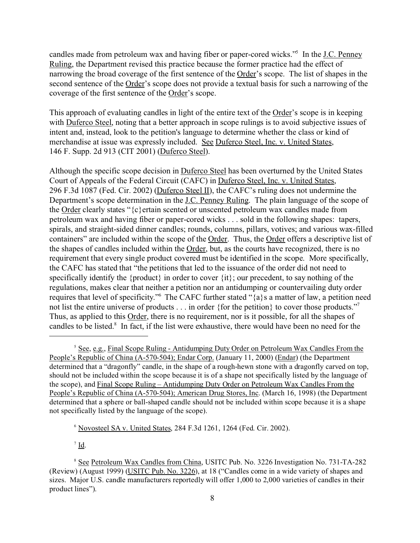candles made from petroleum wax and having fiber or paper-cored wicks."<sup>5</sup> In the J.C. Penney Ruling, the Department revised this practice because the former practice had the effect of narrowing the broad coverage of the first sentence of the Order's scope. The list of shapes in the second sentence of the Order's scope does not provide a textual basis for such a narrowing of the coverage of the first sentence of the Order's scope.

This approach of evaluating candles in light of the entire text of the Order's scope is in keeping with Duferco Steel, noting that a better approach in scope rulings is to avoid subjective issues of intent and, instead, look to the petition's language to determine whether the class or kind of merchandise at issue was expressly included. See Duferco Steel, Inc. v. United States, 146 F. Supp. 2d 913 (CIT 2001) (Duferco Steel).

Although the specific scope decision in Duferco Steel has been overturned by the United States Court of Appeals of the Federal Circuit (CAFC) in Duferco Steel, Inc. v. United States, 296 F.3d 1087 (Fed. Cir. 2002) (Duferco Steel II), the CAFC's ruling does not undermine the Department's scope determination in the <u>J.C. Penney Ruling</u>. The plain language of the scope of the Order clearly states "{c}ertain scented or unscented petroleum wax candles made from petroleum wax and having fiber or paper-cored wicks . . . sold in the following shapes: tapers, spirals, and straight-sided dinner candles; rounds, columns, pillars, votives; and various wax-filled containers" are included within the scope of the Order. Thus, the Order offers a descriptive list of the shapes of candles included within the Order, but, as the courts have recognized, there is no requirement that every single product covered must be identified in the scope. More specifically, the CAFC has stated that "the petitions that led to the issuance of the order did not need to specifically identify the {product} in order to cover {it}; our precedent, to say nothing of the regulations, makes clear that neither a petition nor an antidumping or countervailing duty order requires that level of specificity."<sup>6</sup> The CAFC further stated "{a}s a matter of law, a petition need not list the entire universe of products . . . in order {for the petition} to cover those products."<sup>7</sup> Thus, as applied to this Order, there is no requirement, nor is it possible, for all the shapes of candles to be listed.<sup>8</sup> In fact, if the list were exhaustive, there would have been no need for the

 $\sqrt{7}$  Id.

<sup>&</sup>lt;sup>5</sup> See, e.g., Final Scope Ruling - Antidumping Duty Order on Petroleum Wax Candles From the People's Republic of China (A-570-504); Endar Corp. (January 11, 2000) (Endar) (the Department determined that a "dragonfly" candle, in the shape of a rough-hewn stone with a dragonfly carved on top, should not be included within the scope because it is of a shape not specifically listed by the language of the scope), and Final Scope Ruling – Antidumping Duty Order on Petroleum Wax Candles From the People's Republic of China (A-570-504); American Drug Stores, Inc. (March 16, 1998) (the Department determined that a sphere or ball-shaped candle should not be included within scope because it is a shape not specifically listed by the language of the scope).

 $6$  Novosteel SA v. United States, 284 F.3d 1261, 1264 (Fed. Cir. 2002).

<sup>8</sup> See Petroleum Wax Candles from China, USITC Pub. No. 3226 Investigation No. 731-TA-282 (Review) (August 1999) (USITC Pub. No. 3226), at 18 ("Candles come in a wide variety of shapes and sizes. Major U.S. candle manufacturers reportedly will offer 1,000 to 2,000 varieties of candles in their product lines").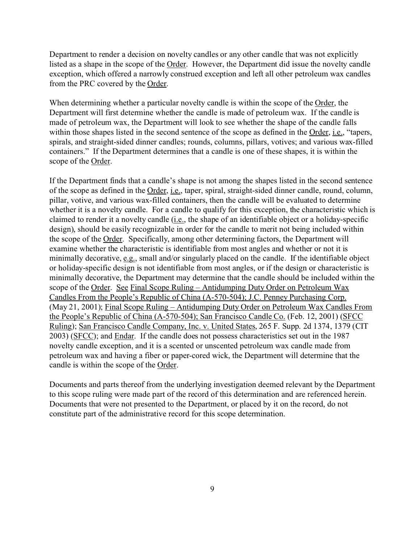Department to render a decision on novelty candles or any other candle that was not explicitly listed as a shape in the scope of the Order. However, the Department did issue the novelty candle exception, which offered a narrowly construed exception and left all other petroleum wax candles from the PRC covered by the Order.

When determining whether a particular novelty candle is within the scope of the Order, the Department will first determine whether the candle is made of petroleum wax. If the candle is made of petroleum wax, the Department will look to see whether the shape of the candle falls within those shapes listed in the second sentence of the scope as defined in the Order, i.e., "tapers, spirals, and straight-sided dinner candles; rounds, columns, pillars, votives; and various wax-filled containers." If the Department determines that a candle is one of these shapes, it is within the scope of the Order.

If the Department finds that a candle's shape is not among the shapes listed in the second sentence of the scope as defined in the Order, i.e., taper, spiral, straight-sided dinner candle, round, column, pillar, votive, and various wax-filled containers, then the candle will be evaluated to determine whether it is a novelty candle. For a candle to qualify for this exception, the characteristic which is claimed to render it a novelty candle (i.e., the shape of an identifiable object or a holiday-specific design), should be easily recognizable in order for the candle to merit not being included within the scope of the Order. Specifically, among other determining factors, the Department will examine whether the characteristic is identifiable from most angles and whether or not it is minimally decorative, e.g., small and/or singularly placed on the candle. If the identifiable object or holiday-specific design is not identifiable from most angles, or if the design or characteristic is minimally decorative, the Department may determine that the candle should be included within the scope of the Order. See Final Scope Ruling – Antidumping Duty Order on Petroleum Wax Candles From the People's Republic of China (A-570-504); J.C. Penney Purchasing Corp. (May 21, 2001); Final Scope Ruling – Antidumping Duty Order on Petroleum Wax Candles From the People's Republic of China (A-570-504); San Francisco Candle Co. (Feb. 12, 2001) (SFCC Ruling); San Francisco Candle Company, Inc. v. United States, 265 F. Supp. 2d 1374, 1379 (CIT 2003) (SFCC); and Endar. If the candle does not possess characteristics set out in the 1987 novelty candle exception, and it is a scented or unscented petroleum wax candle made from petroleum wax and having a fiber or paper-cored wick, the Department will determine that the candle is within the scope of the Order.

Documents and parts thereof from the underlying investigation deemed relevant by the Department to this scope ruling were made part of the record of this determination and are referenced herein. Documents that were not presented to the Department, or placed by it on the record, do not constitute part of the administrative record for this scope determination.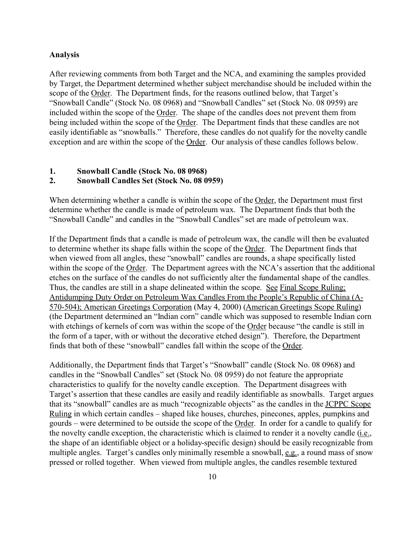#### **Analysis**

After reviewing comments from both Target and the NCA, and examining the samples provided by Target, the Department determined whether subject merchandise should be included within the scope of the Order. The Department finds, for the reasons outlined below, that Target's "Snowball Candle" (Stock No. 08 0968) and "Snowball Candles" set (Stock No. 08 0959) are included within the scope of the Order. The shape of the candles does not prevent them from being included within the scope of the Order. The Department finds that these candles are not easily identifiable as "snowballs." Therefore, these candles do not qualify for the novelty candle exception and are within the scope of the Order. Our analysis of these candles follows below.

## **1. Snowball Candle (Stock No. 08 0968)**

## **2. Snowball Candles Set (Stock No. 08 0959)**

When determining whether a candle is within the scope of the Order, the Department must first determine whether the candle is made of petroleum wax. The Department finds that both the "Snowball Candle" and candles in the "Snowball Candles" set are made of petroleum wax.

If the Department finds that a candle is made of petroleum wax, the candle will then be evaluated to determine whether its shape falls within the scope of the Order. The Department finds that when viewed from all angles, these "snowball" candles are rounds, a shape specifically listed within the scope of the Order. The Department agrees with the NCA's assertion that the additional etches on the surface of the candles do not sufficiently alter the fundamental shape of the candles. Thus, the candles are still in a shape delineated within the scope. See Final Scope Ruling; Antidumping Duty Order on Petroleum Wax Candles From the People's Republic of China (A-570-504); American Greetings Corporation (May 4, 2000) (American Greetings Scope Ruling) (the Department determined an "Indian corn" candle which was supposed to resemble Indian corn with etchings of kernels of corn was within the scope of the Order because "the candle is still in the form of a taper, with or without the decorative etched design"). Therefore, the Department finds that both of these "snowball" candles fall within the scope of the Order.

Additionally, the Department finds that Target's "Snowball" candle (Stock No. 08 0968) and candles in the "Snowball Candles" set (Stock No. 08 0959) do not feature the appropriate characteristics to qualify for the novelty candle exception. The Department disagrees with Target's assertion that these candles are easily and readily identifiable as snowballs. Target argues that its "snowball" candles are as much "recognizable objects" as the candles in the JCPPC Scope Ruling in which certain candles – shaped like houses, churches, pinecones, apples, pumpkins and gourds – were determined to be outside the scope of the Order. In order for a candle to qualify for the novelty candle exception, the characteristic which is claimed to render it a novelty candle (i.e., the shape of an identifiable object or a holiday-specific design) should be easily recognizable from multiple angles. Target's candles only minimally resemble a snowball, e.g., a round mass of snow pressed or rolled together. When viewed from multiple angles, the candles resemble textured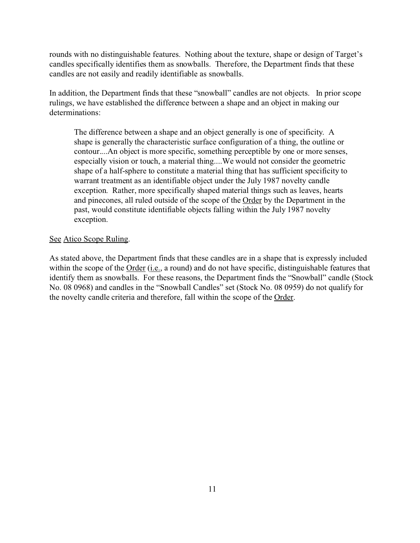rounds with no distinguishable features. Nothing about the texture, shape or design of Target's candles specifically identifies them as snowballs. Therefore, the Department finds that these candles are not easily and readily identifiable as snowballs.

In addition, the Department finds that these "snowball" candles are not objects. In prior scope rulings, we have established the difference between a shape and an object in making our determinations:

The difference between a shape and an object generally is one of specificity. A shape is generally the characteristic surface configuration of a thing, the outline or contour....An object is more specific, something perceptible by one or more senses, especially vision or touch, a material thing....We would not consider the geometric shape of a half-sphere to constitute a material thing that has sufficient specificity to warrant treatment as an identifiable object under the July 1987 novelty candle exception. Rather, more specifically shaped material things such as leaves, hearts and pinecones, all ruled outside of the scope of the Order by the Department in the past, would constitute identifiable objects falling within the July 1987 novelty exception.

## See Atico Scope Ruling.

As stated above, the Department finds that these candles are in a shape that is expressly included within the scope of the Order (i.e., a round) and do not have specific, distinguishable features that identify them as snowballs. For these reasons, the Department finds the "Snowball" candle (Stock No. 08 0968) and candles in the "Snowball Candles" set (Stock No. 08 0959) do not qualify for the novelty candle criteria and therefore, fall within the scope of the Order.